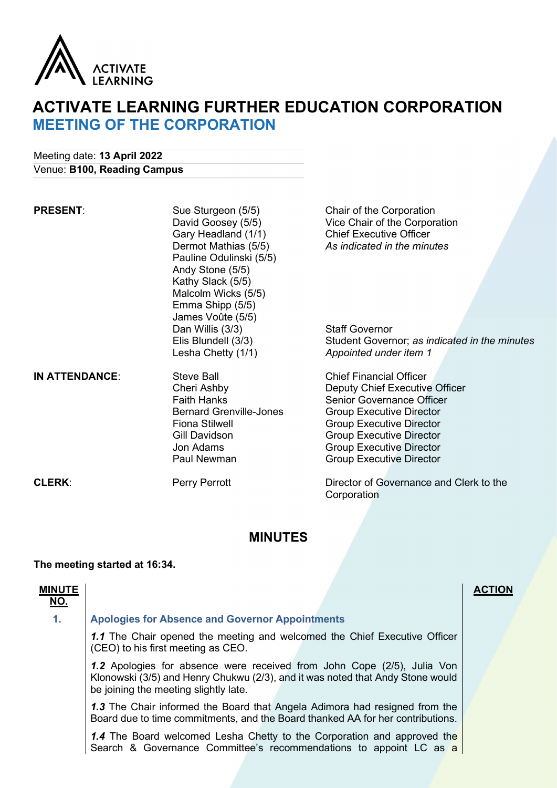

# ACTIVATE LEARNING FURTHER EDUCATION CORPORATION MEETING OF THE CORPORATION

Meeting date: 13 April 2022 Venue: B100, Reading Campus

| <b>PRESENT:</b>       | Sue Sturgeon (5/5)<br>David Goosey (5/5)<br>Gary Headland (1/1)<br>Dermot Mathias (5/5)<br>Pauline Odulinski (5/5)<br>Andy Stone (5/5)<br>Kathy Slack (5/5)<br>Malcolm Wicks (5/5)<br>Emma Shipp (5/5)<br>James Voûte (5/5) | Chair of the Corporation<br>Vice Chair of the Corporation<br><b>Chief Executive Officer</b><br>As indicated in the minutes                                                                                                                                                          |  |  |
|-----------------------|-----------------------------------------------------------------------------------------------------------------------------------------------------------------------------------------------------------------------------|-------------------------------------------------------------------------------------------------------------------------------------------------------------------------------------------------------------------------------------------------------------------------------------|--|--|
|                       | Dan Willis (3/3)<br>Elis Blundell (3/3)<br>Lesha Chetty (1/1)                                                                                                                                                               | <b>Staff Governor</b><br>Student Governor; as indicated in the minutes<br>Appointed under item 1                                                                                                                                                                                    |  |  |
| <b>IN ATTENDANCE:</b> | <b>Steve Ball</b><br>Cheri Ashby<br><b>Faith Hanks</b><br><b>Bernard Grenville-Jones</b><br><b>Fiona Stilwell</b><br>Gill Davidson<br>Jon Adams<br>Paul Newman                                                              | <b>Chief Financial Officer</b><br>Deputy Chief Executive Officer<br><b>Senior Governance Officer</b><br><b>Group Executive Director</b><br><b>Group Executive Director</b><br><b>Group Executive Director</b><br><b>Group Executive Director</b><br><b>Group Executive Director</b> |  |  |
| <b>CLERK:</b>         | Perry Perrott                                                                                                                                                                                                               | Director of Governance and Clerk to the<br>Corporation                                                                                                                                                                                                                              |  |  |

## MINUTES

## The meeting started at 16:34.

| <b>MINUTE</b>  |                                                                                                                                                                                                           | <b>ACTION</b> |  |
|----------------|-----------------------------------------------------------------------------------------------------------------------------------------------------------------------------------------------------------|---------------|--|
| <u>NO.</u>     |                                                                                                                                                                                                           |               |  |
| $\mathbf{1}$ . | <b>Apologies for Absence and Governor Appointments</b>                                                                                                                                                    |               |  |
|                | 1.1 The Chair opened the meeting and welcomed the Chief Executive Officer<br>(CEO) to his first meeting as CEO.                                                                                           |               |  |
|                | <b>1.2</b> Apologies for absence were received from John Cope (2/5), Julia Von<br>Klonowski (3/5) and Henry Chukwu (2/3), and it was noted that Andy Stone would<br>be joining the meeting slightly late. |               |  |
|                | 1.3 The Chair informed the Board that Angela Adimora had resigned from the<br>Board due to time commitments, and the Board thanked AA for her contributions.                                              |               |  |
|                | <b>1.4</b> The Board welcomed Lesha Chetty to the Corporation and approved the<br>Search & Governance Committee's recommendations to appoint LC as a                                                      |               |  |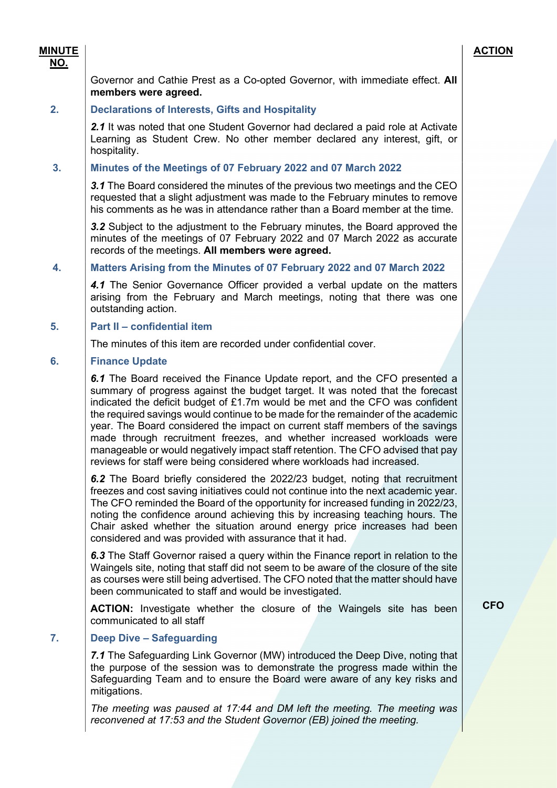## Governor and Cathie Prest as a Co-opted Governor, with immediate effect. All members were agreed.

## 2. Declarations of Interests, Gifts and Hospitality

2.1 It was noted that one Student Governor had declared a paid role at Activate Learning as Student Crew. No other member declared any interest, gift, or hospitality.

## 3. Minutes of the Meetings of 07 February 2022 and 07 March 2022

**3.1** The Board considered the minutes of the previous two meetings and the CEO requested that a slight adjustment was made to the February minutes to remove his comments as he was in attendance rather than a Board member at the time.

3.2 Subject to the adjustment to the February minutes, the Board approved the minutes of the meetings of 07 February 2022 and 07 March 2022 as accurate records of the meetings. All members were agreed.

## 4. Matters Arising from the Minutes of 07 February 2022 and 07 March 2022

4.1 The Senior Governance Officer provided a verbal update on the matters arising from the February and March meetings, noting that there was one outstanding action.

## 5. Part II – confidential item

The minutes of this item are recorded under confidential cover.

#### 6. Finance Update

6.1 The Board received the Finance Update report, and the CFO presented a summary of progress against the budget target. It was noted that the forecast indicated the deficit budget of £1.7m would be met and the CFO was confident the required savings would continue to be made for the remainder of the academic year. The Board considered the impact on current staff members of the savings made through recruitment freezes, and whether increased workloads were manageable or would negatively impact staff retention. The CFO advised that pay reviews for staff were being considered where workloads had increased.

6.2 The Board briefly considered the 2022/23 budget, noting that recruitment freezes and cost saving initiatives could not continue into the next academic year. The CFO reminded the Board of the opportunity for increased funding in 2022/23, noting the confidence around achieving this by increasing teaching hours. The Chair asked whether the situation around energy price increases had been considered and was provided with assurance that it had.

6.3 The Staff Governor raised a query within the Finance report in relation to the Waingels site, noting that staff did not seem to be aware of the closure of the site as courses were still being advertised. The CFO noted that the matter should have been communicated to staff and would be investigated.

ACTION: Investigate whether the closure of the Waingels site has been communicated to all staff

#### 7. Deep Dive – Safeguarding

7.1 The Safeguarding Link Governor (MW) introduced the Deep Dive, noting that the purpose of the session was to demonstrate the progress made within the Safeguarding Team and to ensure the Board were aware of any key risks and mitigations.

The meeting was paused at 17:44 and DM left the meeting. The meeting was reconvened at 17:53 and the Student Governor (EB) joined the meeting.

**CFO** 

## MINUTE

## NO.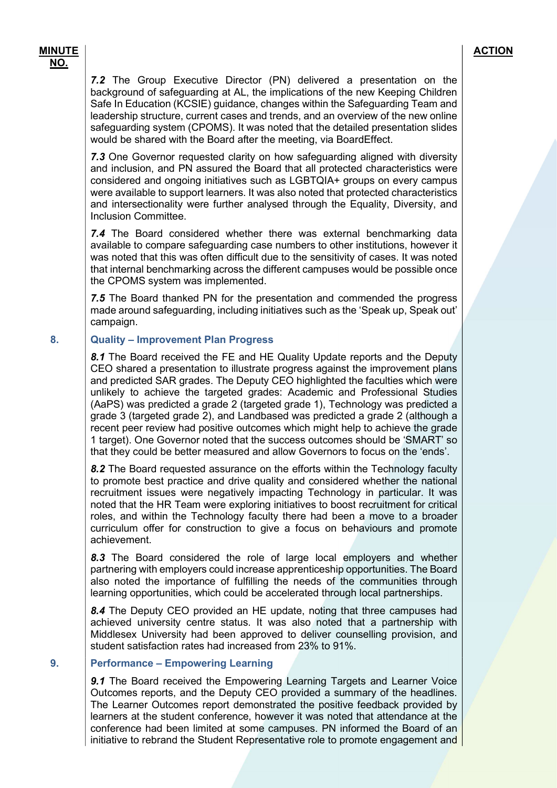7.2 The Group Executive Director (PN) delivered a presentation on the background of safeguarding at AL, the implications of the new Keeping Children Safe In Education (KCSIE) guidance, changes within the Safeguarding Team and leadership structure, current cases and trends, and an overview of the new online safeguarding system (CPOMS). It was noted that the detailed presentation slides would be shared with the Board after the meeting, via BoardEffect.

7.3 One Governor requested clarity on how safeguarding aligned with diversity and inclusion, and PN assured the Board that all protected characteristics were considered and ongoing initiatives such as LGBTQIA+ groups on every campus were available to support learners. It was also noted that protected characteristics and intersectionality were further analysed through the Equality, Diversity, and Inclusion Committee.

7.4 The Board considered whether there was external benchmarking data available to compare safeguarding case numbers to other institutions, however it was noted that this was often difficult due to the sensitivity of cases. It was noted that internal benchmarking across the different campuses would be possible once the CPOMS system was implemented.

7.5 The Board thanked PN for the presentation and commended the progress made around safeguarding, including initiatives such as the 'Speak up, Speak out' campaign.

## 8. Quality – Improvement Plan Progress

8.1 The Board received the FE and HE Quality Update reports and the Deputy CEO shared a presentation to illustrate progress against the improvement plans and predicted SAR grades. The Deputy CEO highlighted the faculties which were unlikely to achieve the targeted grades: Academic and Professional Studies (AaPS) was predicted a grade 2 (targeted grade 1), Technology was predicted a grade 3 (targeted grade 2), and Landbased was predicted a grade 2 (although a recent peer review had positive outcomes which might help to achieve the grade 1 target). One Governor noted that the success outcomes should be 'SMART' so that they could be better measured and allow Governors to focus on the 'ends'.

8.2 The Board requested assurance on the efforts within the Technology faculty to promote best practice and drive quality and considered whether the national recruitment issues were negatively impacting Technology in particular. It was noted that the HR Team were exploring initiatives to boost recruitment for critical roles, and within the Technology faculty there had been a move to a broader curriculum offer for construction to give a focus on behaviours and promote achievement.

8.3 The Board considered the role of large local employers and whether partnering with employers could increase apprenticeship opportunities. The Board also noted the importance of fulfilling the needs of the communities through learning opportunities, which could be accelerated through local partnerships.

8.4 The Deputy CEO provided an HE update, noting that three campuses had achieved university centre status. It was also noted that a partnership with Middlesex University had been approved to deliver counselling provision, and student satisfaction rates had increased from 23% to 91%.

#### 9. Performance – Empowering Learning

9.1 The Board received the Empowering Learning Targets and Learner Voice Outcomes reports, and the Deputy CEO provided a summary of the headlines. The Learner Outcomes report demonstrated the positive feedback provided by learners at the student conference, however it was noted that attendance at the conference had been limited at some campuses. PN informed the Board of an initiative to rebrand the Student Representative role to promote engagement and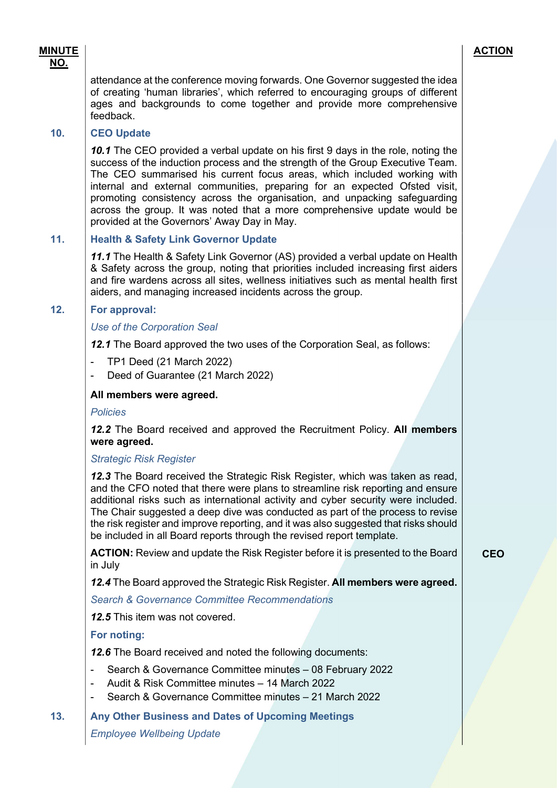MINUTE

**CEO** 

attendance at the conference moving forwards. One Governor suggested the idea of creating 'human libraries', which referred to encouraging groups of different ages and backgrounds to come together and provide more comprehensive feedback.

## 10. CEO Update

10.1 The CEO provided a verbal update on his first 9 days in the role, noting the success of the induction process and the strength of the Group Executive Team. The CEO summarised his current focus areas, which included working with internal and external communities, preparing for an expected Ofsted visit, promoting consistency across the organisation, and unpacking safeguarding across the group. It was noted that a more comprehensive update would be provided at the Governors' Away Day in May.

## 11. Health & Safety Link Governor Update

11.1 The Health & Safety Link Governor (AS) provided a verbal update on Health & Safety across the group, noting that priorities included increasing first aiders and fire wardens across all sites, wellness initiatives such as mental health first aiders, and managing increased incidents across the group.

## 12. For approval:

Use of the Corporation Seal

12.1 The Board approved the two uses of the Corporation Seal, as follows:

- TP1 Deed (21 March 2022)
- Deed of Guarantee (21 March 2022)

## All members were agreed.

**Policies** 

12.2 The Board received and approved the Recruitment Policy. All members were agreed.

Strategic Risk Register

12.3 The Board received the Strategic Risk Register, which was taken as read, and the CFO noted that there were plans to streamline risk reporting and ensure additional risks such as international activity and cyber security were included. The Chair suggested a deep dive was conducted as part of the process to revise the risk register and improve reporting, and it was also suggested that risks should be included in all Board reports through the revised report template.

ACTION: Review and update the Risk Register before it is presented to the Board in July

12.4 The Board approved the Strategic Risk Register. All members were agreed.

Search & Governance Committee Recommendations

12.5 This item was not covered.

For noting:

12.6 The Board received and noted the following documents:

- Search & Governance Committee minutes 08 February 2022
- Audit & Risk Committee minutes 14 March 2022
- Search & Governance Committee minutes 21 March 2022

13. Any Other Business and Dates of Upcoming Meetings

Employee Wellbeing Update